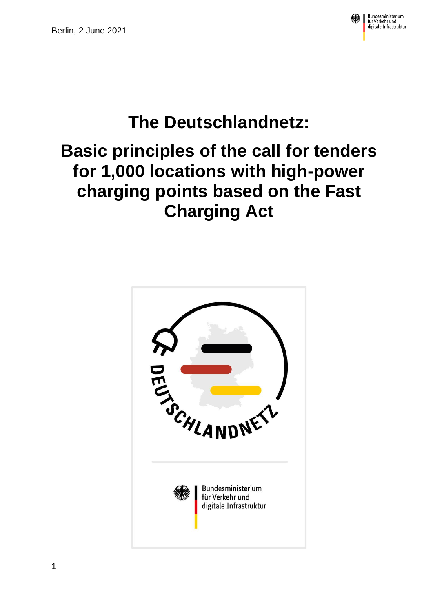

# **The Deutschlandnetz:**

# **Basic principles of the call for tenders for 1,000 locations with high-power charging points based on the Fast Charging Act**

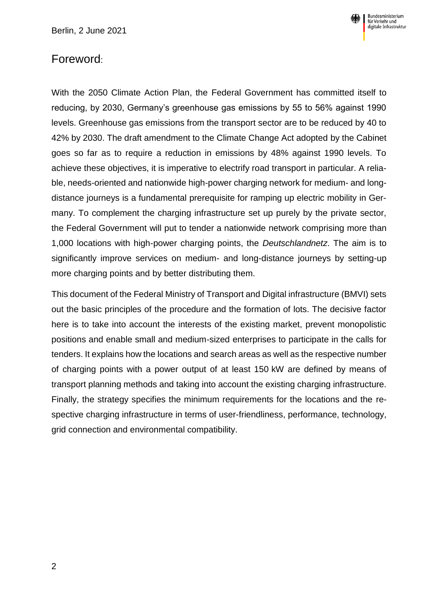

## Foreword:

With the 2050 Climate Action Plan, the Federal Government has committed itself to reducing, by 2030, Germany's greenhouse gas emissions by 55 to 56% against 1990 levels. Greenhouse gas emissions from the transport sector are to be reduced by 40 to 42% by 2030. The draft amendment to the Climate Change Act adopted by the Cabinet goes so far as to require a reduction in emissions by 48% against 1990 levels. To achieve these objectives, it is imperative to electrify road transport in particular. A reliable, needs-oriented and nationwide high-power charging network for medium- and longdistance journeys is a fundamental prerequisite for ramping up electric mobility in Germany. To complement the charging infrastructure set up purely by the private sector, the Federal Government will put to tender a nationwide network comprising more than 1,000 locations with high-power charging points, the *Deutschlandnetz*. The aim is to significantly improve services on medium- and long-distance journeys by setting-up more charging points and by better distributing them.

This document of the Federal Ministry of Transport and Digital infrastructure (BMVI) sets out the basic principles of the procedure and the formation of lots. The decisive factor here is to take into account the interests of the existing market, prevent monopolistic positions and enable small and medium-sized enterprises to participate in the calls for tenders. It explains how the locations and search areas as well as the respective number of charging points with a power output of at least 150 kW are defined by means of transport planning methods and taking into account the existing charging infrastructure. Finally, the strategy specifies the minimum requirements for the locations and the respective charging infrastructure in terms of user-friendliness, performance, technology, grid connection and environmental compatibility.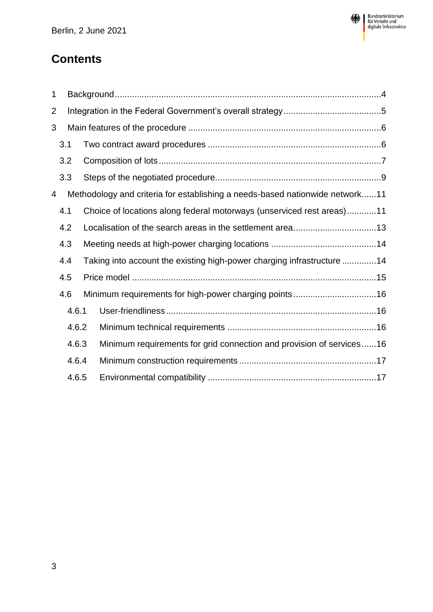

# **Contents**

| 1 |       |  |                                                                              |  |
|---|-------|--|------------------------------------------------------------------------------|--|
| 2 |       |  |                                                                              |  |
| 3 |       |  |                                                                              |  |
|   | 3.1   |  |                                                                              |  |
|   | 3.2   |  |                                                                              |  |
|   | 3.3   |  |                                                                              |  |
| 4 |       |  | Methodology and criteria for establishing a needs-based nationwide network11 |  |
|   | 4.1   |  | Choice of locations along federal motorways (unserviced rest areas)11        |  |
|   | 4.2   |  |                                                                              |  |
|   | 4.3   |  |                                                                              |  |
|   | 4.4   |  | Taking into account the existing high-power charging infrastructure 14       |  |
|   | 4.5   |  |                                                                              |  |
|   | 4.6   |  |                                                                              |  |
|   | 4.6.1 |  |                                                                              |  |
|   | 4.6.2 |  |                                                                              |  |
|   | 4.6.3 |  | Minimum requirements for grid connection and provision of services16         |  |
|   | 4.6.4 |  |                                                                              |  |
|   | 4.6.5 |  |                                                                              |  |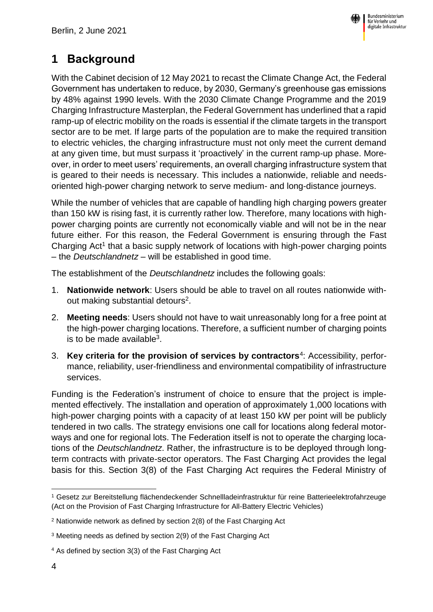

## <span id="page-3-0"></span>**1 Background**

With the Cabinet decision of 12 May 2021 to recast the Climate Change Act, the Federal Government has undertaken to reduce, by 2030, Germany's greenhouse gas emissions by 48% against 1990 levels. With the 2030 Climate Change Programme and the 2019 Charging Infrastructure Masterplan, the Federal Government has underlined that a rapid ramp-up of electric mobility on the roads is essential if the climate targets in the transport sector are to be met. If large parts of the population are to make the required transition to electric vehicles, the charging infrastructure must not only meet the current demand at any given time, but must surpass it 'proactively' in the current ramp-up phase. Moreover, in order to meet users' requirements, an overall charging infrastructure system that is geared to their needs is necessary. This includes a nationwide, reliable and needsoriented high-power charging network to serve medium- and long-distance journeys.

While the number of vehicles that are capable of handling high charging powers greater than 150 kW is rising fast, it is currently rather low. Therefore, many locations with highpower charging points are currently not economically viable and will not be in the near future either. For this reason, the Federal Government is ensuring through the Fast Charging  $Act<sup>1</sup>$  that a basic supply network of locations with high-power charging points – the *Deutschlandnetz* – will be established in good time.

The establishment of the *Deutschlandnetz* includes the following goals:

- 1. **Nationwide network**: Users should be able to travel on all routes nationwide without making substantial detours<sup>2</sup>.
- 2. **Meeting needs**: Users should not have to wait unreasonably long for a free point at the high-power charging locations. Therefore, a sufficient number of charging points is to be made available $3$ .
- 3. **Key criteria for the provision of services by contractors**<sup>4</sup> : Accessibility, performance, reliability, user-friendliness and environmental compatibility of infrastructure services.

Funding is the Federation's instrument of choice to ensure that the project is implemented effectively. The installation and operation of approximately 1,000 locations with high-power charging points with a capacity of at least 150 kW per point will be publicly tendered in two calls. The strategy envisions one call for locations along federal motorways and one for regional lots. The Federation itself is not to operate the charging locations of the *Deutschlandnetz*. Rather, the infrastructure is to be deployed through longterm contracts with private-sector operators. The Fast Charging Act provides the legal basis for this. Section 3(8) of the Fast Charging Act requires the Federal Ministry of

<sup>1</sup> <sup>1</sup> Gesetz zur Bereitstellung flächendeckender Schnellladeinfrastruktur für reine Batterieelektrofahrzeuge (Act on the Provision of Fast Charging Infrastructure for All-Battery Electric Vehicles)

<sup>2</sup> Nationwide network as defined by section 2(8) of the Fast Charging Act

<sup>3</sup> Meeting needs as defined by section 2(9) of the Fast Charging Act

<sup>4</sup> As defined by section 3(3) of the Fast Charging Act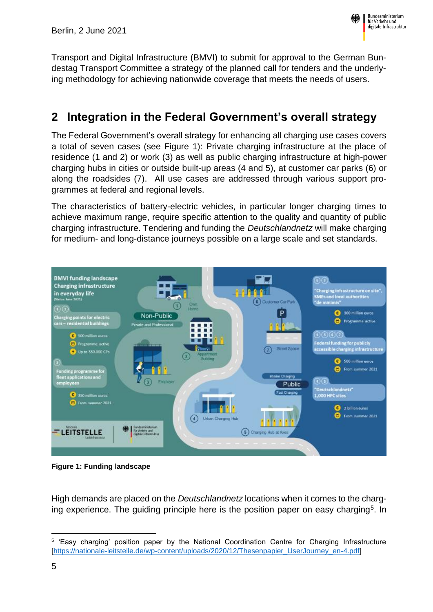

Transport and Digital Infrastructure (BMVI) to submit for approval to the German Bundestag Transport Committee a strategy of the planned call for tenders and the underlying methodology for achieving nationwide coverage that meets the needs of users.

## <span id="page-4-0"></span>**2 Integration in the Federal Government's overall strategy**

The Federal Government's overall strategy for enhancing all charging use cases covers a total of seven cases (see Figure 1): Private charging infrastructure at the place of residence (1 and 2) or work (3) as well as public charging infrastructure at high-power charging hubs in cities or outside built-up areas (4 and 5), at customer car parks (6) or along the roadsides (7). All use cases are addressed through various support programmes at federal and regional levels.

The characteristics of battery-electric vehicles, in particular longer charging times to achieve maximum range, require specific attention to the quality and quantity of public charging infrastructure. Tendering and funding the *Deutschlandnetz* will make charging for medium- and long-distance journeys possible on a large scale and set standards.



**Figure 1: Funding landscape**

High demands are placed on the *Deutschlandnetz* locations when it comes to the charging experience. The guiding principle here is the position paper on easy charging<sup>5</sup>. In

<sup>1</sup> 5 'Easy charging' position paper by the National Coordination Centre for Charging Infrastructure [\[https://nationale-leitstelle.de/wp-content/uploads/2020/12/Thesenpapier\\_UserJourney\\_en-4.pdf\]](https://nationale-leitstelle.de/wp-content/uploads/2020/12/Thesenpapier_UserJourney_en-4.pdf)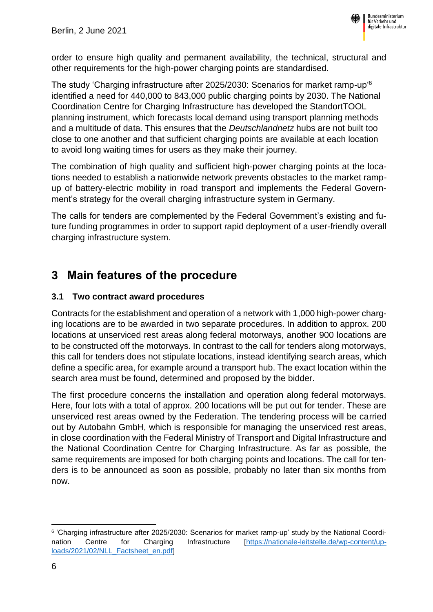order to ensure high quality and permanent availability, the technical, structural and other requirements for the high-power charging points are standardised.

The study 'Charging infrastructure after 2025/2030: Scenarios for market ramp-up'<sup>6</sup> identified a need for 440,000 to 843,000 public charging points by 2030. The National Coordination Centre for Charging Infrastructure has developed the StandortTOOL planning instrument, which forecasts local demand using transport planning methods and a multitude of data. This ensures that the *Deutschlandnetz* hubs are not built too close to one another and that sufficient charging points are available at each location to avoid long waiting times for users as they make their journey.

The combination of high quality and sufficient high-power charging points at the locations needed to establish a nationwide network prevents obstacles to the market rampup of battery-electric mobility in road transport and implements the Federal Government's strategy for the overall charging infrastructure system in Germany.

The calls for tenders are complemented by the Federal Government's existing and future funding programmes in order to support rapid deployment of a user-friendly overall charging infrastructure system.

## <span id="page-5-0"></span>**3 Main features of the procedure**

### <span id="page-5-1"></span>**3.1 Two contract award procedures**

Contracts for the establishment and operation of a network with 1,000 high-power charging locations are to be awarded in two separate procedures. In addition to approx. 200 locations at unserviced rest areas along federal motorways, another 900 locations are to be constructed off the motorways. In contrast to the call for tenders along motorways, this call for tenders does not stipulate locations, instead identifying search areas, which define a specific area, for example around a transport hub. The exact location within the search area must be found, determined and proposed by the bidder.

The first procedure concerns the installation and operation along federal motorways. Here, four lots with a total of approx. 200 locations will be put out for tender. These are unserviced rest areas owned by the Federation. The tendering process will be carried out by Autobahn GmbH, which is responsible for managing the unserviced rest areas, in close coordination with the Federal Ministry of Transport and Digital Infrastructure and the National Coordination Centre for Charging Infrastructure. As far as possible, the same requirements are imposed for both charging points and locations. The call for tenders is to be announced as soon as possible, probably no later than six months from now.

1

<sup>6</sup> 'Charging infrastructure after 2025/2030: Scenarios for market ramp-up' study by the National Coordination Centre for Charging Infrastructure [\[https://nationale-leitstelle.de/wp-content/up](https://nationale-leitstelle.de/wp-content/uploads/2021/02/NLL_Factsheet_en.pdf)[loads/2021/02/NLL\\_Factsheet\\_en.pdf\]](https://nationale-leitstelle.de/wp-content/uploads/2021/02/NLL_Factsheet_en.pdf)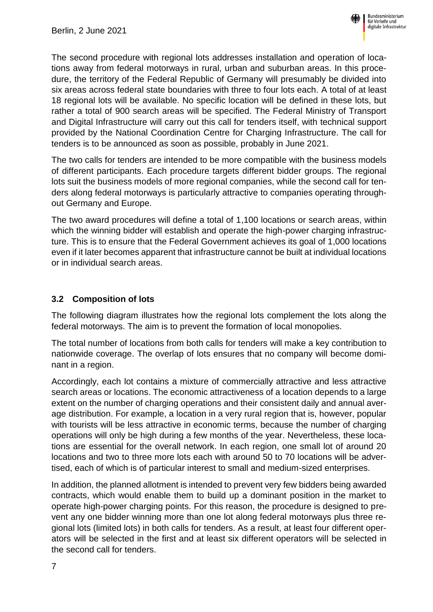The second procedure with regional lots addresses installation and operation of locations away from federal motorways in rural, urban and suburban areas. In this procedure, the territory of the Federal Republic of Germany will presumably be divided into six areas across federal state boundaries with three to four lots each. A total of at least 18 regional lots will be available. No specific location will be defined in these lots, but rather a total of 900 search areas will be specified. The Federal Ministry of Transport and Digital Infrastructure will carry out this call for tenders itself, with technical support provided by the National Coordination Centre for Charging Infrastructure. The call for tenders is to be announced as soon as possible, probably in June 2021.

The two calls for tenders are intended to be more compatible with the business models of different participants. Each procedure targets different bidder groups. The regional lots suit the business models of more regional companies, while the second call for tenders along federal motorways is particularly attractive to companies operating throughout Germany and Europe.

The two award procedures will define a total of 1,100 locations or search areas, within which the winning bidder will establish and operate the high-power charging infrastructure. This is to ensure that the Federal Government achieves its goal of 1,000 locations even if it later becomes apparent that infrastructure cannot be built at individual locations or in individual search areas.

### <span id="page-6-0"></span>**3.2 Composition of lots**

The following diagram illustrates how the regional lots complement the lots along the federal motorways. The aim is to prevent the formation of local monopolies.

The total number of locations from both calls for tenders will make a key contribution to nationwide coverage. The overlap of lots ensures that no company will become dominant in a region.

Accordingly, each lot contains a mixture of commercially attractive and less attractive search areas or locations. The economic attractiveness of a location depends to a large extent on the number of charging operations and their consistent daily and annual average distribution. For example, a location in a very rural region that is, however, popular with tourists will be less attractive in economic terms, because the number of charging operations will only be high during a few months of the year. Nevertheless, these locations are essential for the overall network. In each region, one small lot of around 20 locations and two to three more lots each with around 50 to 70 locations will be advertised, each of which is of particular interest to small and medium-sized enterprises.

In addition, the planned allotment is intended to prevent very few bidders being awarded contracts, which would enable them to build up a dominant position in the market to operate high-power charging points. For this reason, the procedure is designed to prevent any one bidder winning more than one lot along federal motorways plus three regional lots (limited lots) in both calls for tenders. As a result, at least four different operators will be selected in the first and at least six different operators will be selected in the second call for tenders.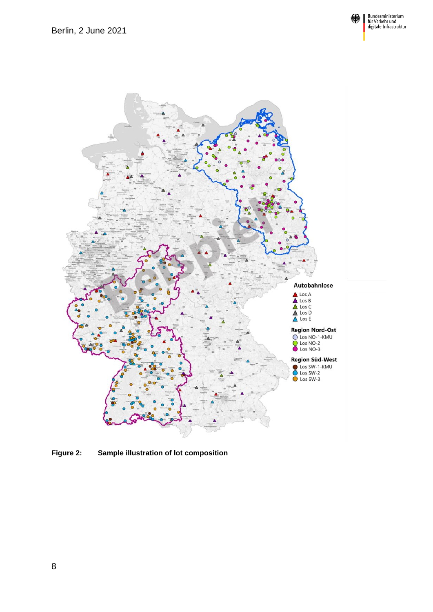



**Figure 2: Sample illustration of lot composition**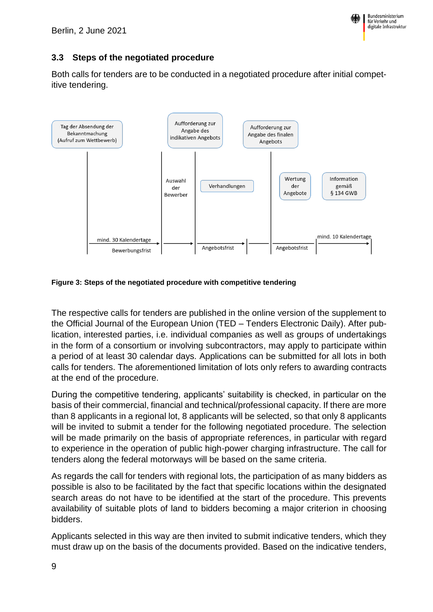

## <span id="page-8-0"></span>**3.3 Steps of the negotiated procedure**

Both calls for tenders are to be conducted in a negotiated procedure after initial competitive tendering.



#### **Figure 3: Steps of the negotiated procedure with competitive tendering**

The respective calls for tenders are published in the online version of the supplement to the Official Journal of the European Union (TED – Tenders Electronic Daily). After publication, interested parties, i.e. individual companies as well as groups of undertakings in the form of a consortium or involving subcontractors, may apply to participate within a period of at least 30 calendar days. Applications can be submitted for all lots in both calls for tenders. The aforementioned limitation of lots only refers to awarding contracts at the end of the procedure.

During the competitive tendering, applicants' suitability is checked, in particular on the basis of their commercial, financial and technical/professional capacity. If there are more than 8 applicants in a regional lot, 8 applicants will be selected, so that only 8 applicants will be invited to submit a tender for the following negotiated procedure. The selection will be made primarily on the basis of appropriate references, in particular with regard to experience in the operation of public high-power charging infrastructure. The call for tenders along the federal motorways will be based on the same criteria.

As regards the call for tenders with regional lots, the participation of as many bidders as possible is also to be facilitated by the fact that specific locations within the designated search areas do not have to be identified at the start of the procedure. This prevents availability of suitable plots of land to bidders becoming a major criterion in choosing bidders.

Applicants selected in this way are then invited to submit indicative tenders, which they must draw up on the basis of the documents provided. Based on the indicative tenders,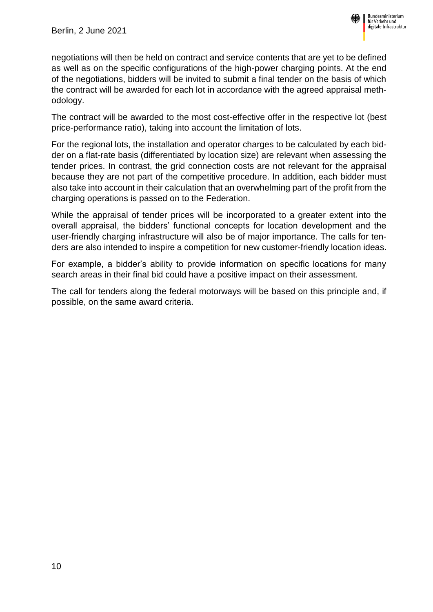

negotiations will then be held on contract and service contents that are yet to be defined as well as on the specific configurations of the high-power charging points. At the end of the negotiations, bidders will be invited to submit a final tender on the basis of which the contract will be awarded for each lot in accordance with the agreed appraisal methodology.

The contract will be awarded to the most cost-effective offer in the respective lot (best price-performance ratio), taking into account the limitation of lots.

For the regional lots, the installation and operator charges to be calculated by each bidder on a flat-rate basis (differentiated by location size) are relevant when assessing the tender prices. In contrast, the grid connection costs are not relevant for the appraisal because they are not part of the competitive procedure. In addition, each bidder must also take into account in their calculation that an overwhelming part of the profit from the charging operations is passed on to the Federation.

While the appraisal of tender prices will be incorporated to a greater extent into the overall appraisal, the bidders' functional concepts for location development and the user-friendly charging infrastructure will also be of major importance. The calls for tenders are also intended to inspire a competition for new customer-friendly location ideas.

For example, a bidder's ability to provide information on specific locations for many search areas in their final bid could have a positive impact on their assessment.

The call for tenders along the federal motorways will be based on this principle and, if possible, on the same award criteria.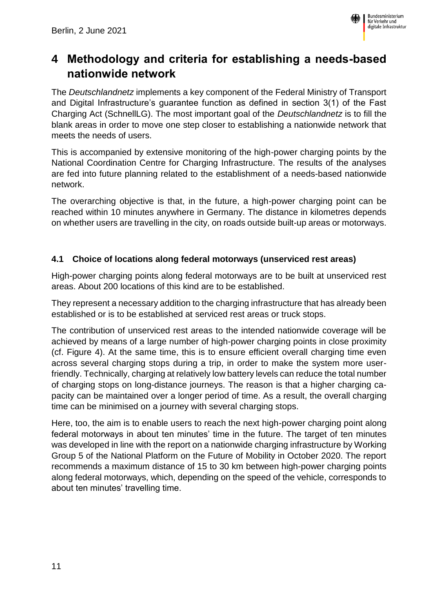

## <span id="page-10-0"></span>**4 Methodology and criteria for establishing a needs-based nationwide network**

The *Deutschlandnetz* implements a key component of the Federal Ministry of Transport and Digital Infrastructure's guarantee function as defined in section 3(1) of the Fast Charging Act (SchnellLG). The most important goal of the *Deutschlandnetz* is to fill the blank areas in order to move one step closer to establishing a nationwide network that meets the needs of users.

This is accompanied by extensive monitoring of the high-power charging points by the National Coordination Centre for Charging Infrastructure. The results of the analyses are fed into future planning related to the establishment of a needs-based nationwide network.

The overarching objective is that, in the future, a high-power charging point can be reached within 10 minutes anywhere in Germany. The distance in kilometres depends on whether users are travelling in the city, on roads outside built-up areas or motorways.

### <span id="page-10-1"></span>**4.1 Choice of locations along federal motorways (unserviced rest areas)**

High-power charging points along federal motorways are to be built at unserviced rest areas. About 200 locations of this kind are to be established.

They represent a necessary addition to the charging infrastructure that has already been established or is to be established at serviced rest areas or truck stops.

The contribution of unserviced rest areas to the intended nationwide coverage will be achieved by means of a large number of high-power charging points in close proximity (cf. Figure 4). At the same time, this is to ensure efficient overall charging time even across several charging stops during a trip, in order to make the system more userfriendly. Technically, charging at relatively low battery levels can reduce the total number of charging stops on long-distance journeys. The reason is that a higher charging capacity can be maintained over a longer period of time. As a result, the overall charging time can be minimised on a journey with several charging stops.

Here, too, the aim is to enable users to reach the next high-power charging point along federal motorways in about ten minutes' time in the future. The target of ten minutes was developed in line with the report on a nationwide charging infrastructure by Working Group 5 of the National Platform on the Future of Mobility in October 2020. The report recommends a maximum distance of 15 to 30 km between high-power charging points along federal motorways, which, depending on the speed of the vehicle, corresponds to about ten minutes' travelling time.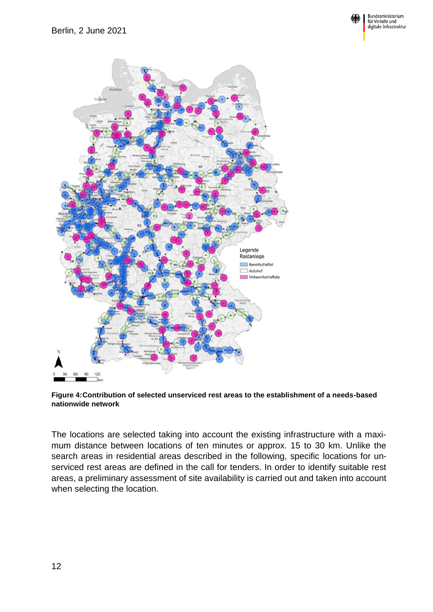



**Figure 4:Contribution of selected unserviced rest areas to the establishment of a needs-based nationwide network**

The locations are selected taking into account the existing infrastructure with a maximum distance between locations of ten minutes or approx. 15 to 30 km. Unlike the search areas in residential areas described in the following, specific locations for unserviced rest areas are defined in the call for tenders. In order to identify suitable rest areas, a preliminary assessment of site availability is carried out and taken into account when selecting the location.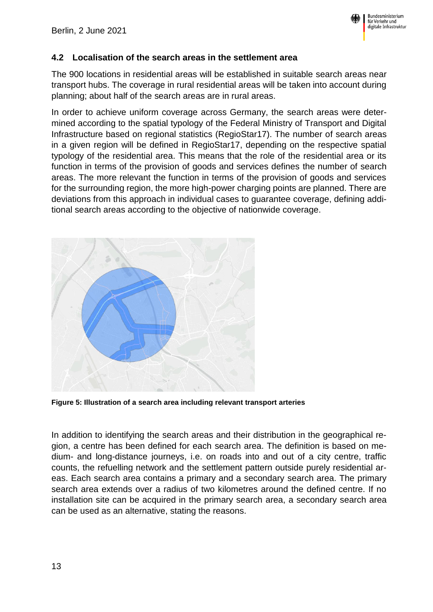

#### <span id="page-12-0"></span>**4.2 Localisation of the search areas in the settlement area**

The 900 locations in residential areas will be established in suitable search areas near transport hubs. The coverage in rural residential areas will be taken into account during planning; about half of the search areas are in rural areas.

In order to achieve uniform coverage across Germany, the search areas were determined according to the spatial typology of the Federal Ministry of Transport and Digital Infrastructure based on regional statistics (RegioStar17). The number of search areas in a given region will be defined in RegioStar17, depending on the respective spatial typology of the residential area. This means that the role of the residential area or its function in terms of the provision of goods and services defines the number of search areas. The more relevant the function in terms of the provision of goods and services for the surrounding region, the more high-power charging points are planned. There are deviations from this approach in individual cases to guarantee coverage, defining additional search areas according to the objective of nationwide coverage.



**Figure 5: Illustration of a search area including relevant transport arteries**

In addition to identifying the search areas and their distribution in the geographical region, a centre has been defined for each search area. The definition is based on medium- and long-distance journeys, i.e. on roads into and out of a city centre, traffic counts, the refuelling network and the settlement pattern outside purely residential areas. Each search area contains a primary and a secondary search area. The primary search area extends over a radius of two kilometres around the defined centre. If no installation site can be acquired in the primary search area, a secondary search area can be used as an alternative, stating the reasons.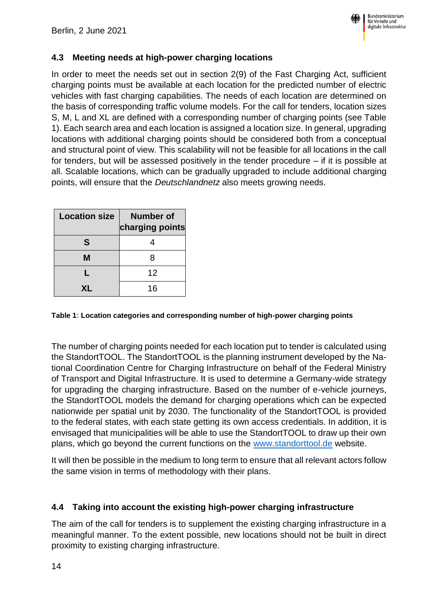

## <span id="page-13-0"></span>**4.3 Meeting needs at high-power charging locations**

In order to meet the needs set out in section 2(9) of the Fast Charging Act, sufficient charging points must be available at each location for the predicted number of electric vehicles with fast charging capabilities. The needs of each location are determined on the basis of corresponding traffic volume models. For the call for tenders, location sizes S, M, L and XL are defined with a corresponding number of charging points (see Table 1). Each search area and each location is assigned a location size. In general, upgrading locations with additional charging points should be considered both from a conceptual and structural point of view. This scalability will not be feasible for all locations in the call for tenders, but will be assessed positively in the tender procedure – if it is possible at all. Scalable locations, which can be gradually upgraded to include additional charging points, will ensure that the *Deutschlandnetz* also meets growing needs.

| <b>Location size</b> | <b>Number of</b><br>charging points |
|----------------------|-------------------------------------|
| S                    |                                     |
| м                    | 8                                   |
|                      | 12                                  |
| ΥI.                  | 16                                  |

#### **Table 1: Location categories and corresponding number of high-power charging points**

The number of charging points needed for each location put to tender is calculated using the StandortTOOL. The StandortTOOL is the planning instrument developed by the National Coordination Centre for Charging Infrastructure on behalf of the Federal Ministry of Transport and Digital Infrastructure. It is used to determine a Germany-wide strategy for upgrading the charging infrastructure. Based on the number of e-vehicle journeys, the StandortTOOL models the demand for charging operations which can be expected nationwide per spatial unit by 2030. The functionality of the StandortTOOL is provided to the federal states, with each state getting its own access credentials. In addition, it is envisaged that municipalities will be able to use the StandortTOOL to draw up their own plans, which go beyond the current functions on the [www.standorttool.de](http://www.standorttool.de/) website.

It will then be possible in the medium to long term to ensure that all relevant actors follow the same vision in terms of methodology with their plans.

#### <span id="page-13-1"></span>**4.4 Taking into account the existing high-power charging infrastructure**

The aim of the call for tenders is to supplement the existing charging infrastructure in a meaningful manner. To the extent possible, new locations should not be built in direct proximity to existing charging infrastructure.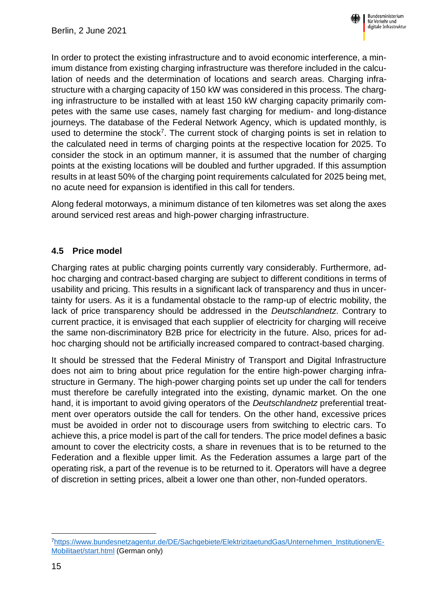

In order to protect the existing infrastructure and to avoid economic interference, a minimum distance from existing charging infrastructure was therefore included in the calculation of needs and the determination of locations and search areas. Charging infrastructure with a charging capacity of 150 kW was considered in this process. The charging infrastructure to be installed with at least 150 kW charging capacity primarily competes with the same use cases, namely fast charging for medium- and long-distance journeys. The database of the Federal Network Agency, which is updated monthly, is used to determine the stock<sup>7</sup>. The current stock of charging points is set in relation to the calculated need in terms of charging points at the respective location for 2025. To consider the stock in an optimum manner, it is assumed that the number of charging points at the existing locations will be doubled and further upgraded. If this assumption results in at least 50% of the charging point requirements calculated for 2025 being met, no acute need for expansion is identified in this call for tenders.

Along federal motorways, a minimum distance of ten kilometres was set along the axes around serviced rest areas and high-power charging infrastructure.

### <span id="page-14-0"></span>**4.5 Price model**

Charging rates at public charging points currently vary considerably. Furthermore, adhoc charging and contract-based charging are subject to different conditions in terms of usability and pricing. This results in a significant lack of transparency and thus in uncertainty for users. As it is a fundamental obstacle to the ramp-up of electric mobility, the lack of price transparency should be addressed in the *Deutschlandnetz*. Contrary to current practice, it is envisaged that each supplier of electricity for charging will receive the same non-discriminatory B2B price for electricity in the future. Also, prices for adhoc charging should not be artificially increased compared to contract-based charging.

It should be stressed that the Federal Ministry of Transport and Digital Infrastructure does not aim to bring about price regulation for the entire high-power charging infrastructure in Germany. The high-power charging points set up under the call for tenders must therefore be carefully integrated into the existing, dynamic market. On the one hand, it is important to avoid giving operators of the *Deutschlandnetz* preferential treatment over operators outside the call for tenders. On the other hand, excessive prices must be avoided in order not to discourage users from switching to electric cars. To achieve this, a price model is part of the call for tenders. The price model defines a basic amount to cover the electricity costs, a share in revenues that is to be returned to the Federation and a flexible upper limit. As the Federation assumes a large part of the operating risk, a part of the revenue is to be returned to it. Operators will have a degree of discretion in setting prices, albeit a lower one than other, non-funded operators.

1

<sup>7</sup>[https://www.bundesnetzagentur.de/DE/Sachgebiete/ElektrizitaetundGas/Unternehmen\\_Institutionen/E-](https://www.bundesnetzagentur.de/DE/Sachgebiete/ElektrizitaetundGas/Unternehmen_Institutionen/E-Mobilitaet/start.html)[Mobilitaet/start.html](https://www.bundesnetzagentur.de/DE/Sachgebiete/ElektrizitaetundGas/Unternehmen_Institutionen/E-Mobilitaet/start.html) (German only)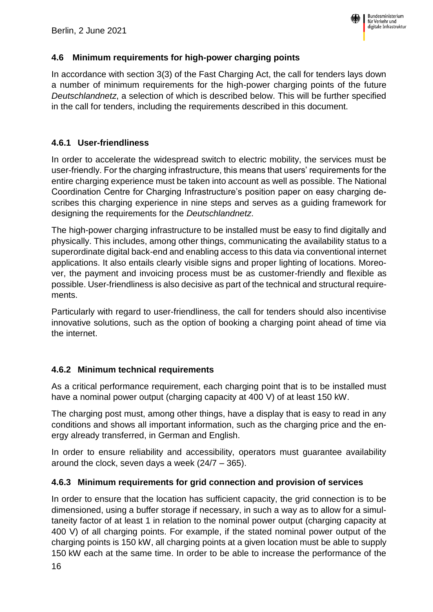

## <span id="page-15-0"></span>**4.6 Minimum requirements for high-power charging points**

In accordance with section 3(3) of the Fast Charging Act, the call for tenders lays down a number of minimum requirements for the high-power charging points of the future *Deutschlandnetz*, a selection of which is described below. This will be further specified in the call for tenders, including the requirements described in this document.

#### <span id="page-15-1"></span>**4.6.1 User-friendliness**

In order to accelerate the widespread switch to electric mobility, the services must be user-friendly. For the charging infrastructure, this means that users' requirements for the entire charging experience must be taken into account as well as possible. The National Coordination Centre for Charging Infrastructure's position paper on easy charging describes this charging experience in nine steps and serves as a guiding framework for designing the requirements for the *Deutschlandnetz*.

The high-power charging infrastructure to be installed must be easy to find digitally and physically. This includes, among other things, communicating the availability status to a superordinate digital back-end and enabling access to this data via conventional internet applications. It also entails clearly visible signs and proper lighting of locations. Moreover, the payment and invoicing process must be as customer-friendly and flexible as possible. User-friendliness is also decisive as part of the technical and structural requirements.

Particularly with regard to user-friendliness, the call for tenders should also incentivise innovative solutions, such as the option of booking a charging point ahead of time via the internet.

#### <span id="page-15-2"></span>**4.6.2 Minimum technical requirements**

As a critical performance requirement, each charging point that is to be installed must have a nominal power output (charging capacity at 400 V) of at least 150 kW.

The charging post must, among other things, have a display that is easy to read in any conditions and shows all important information, such as the charging price and the energy already transferred, in German and English.

In order to ensure reliability and accessibility, operators must guarantee availability around the clock, seven days a week  $(24/7 - 365)$ .

#### <span id="page-15-3"></span>**4.6.3 Minimum requirements for grid connection and provision of services**

In order to ensure that the location has sufficient capacity, the grid connection is to be dimensioned, using a buffer storage if necessary, in such a way as to allow for a simultaneity factor of at least 1 in relation to the nominal power output (charging capacity at 400 V) of all charging points. For example, if the stated nominal power output of the charging points is 150 kW, all charging points at a given location must be able to supply 150 kW each at the same time. In order to be able to increase the performance of the